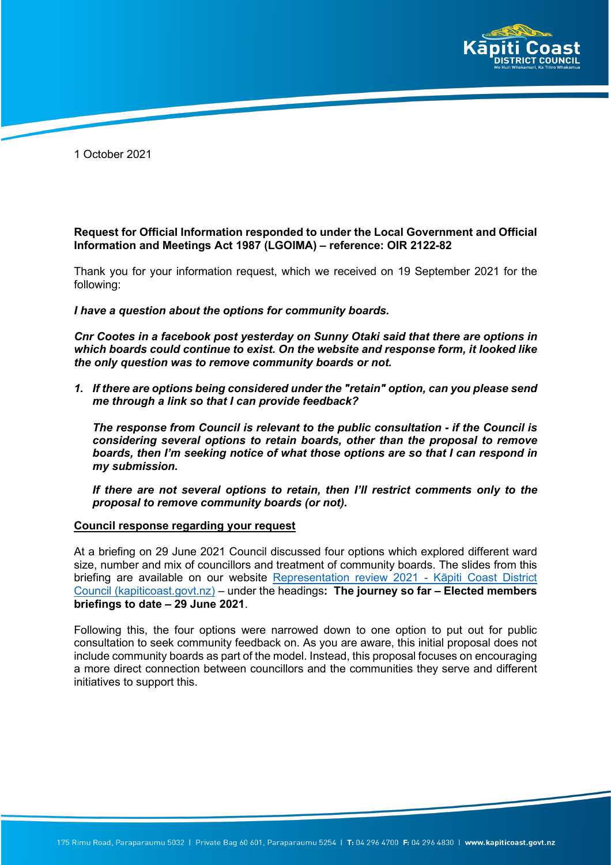

1 October 2021

**Request for Official Information responded to under the Local Government and Official Information and Meetings Act 1987 (LGOIMA) – reference: OIR 2122-82**

Thank you for your information request, which we received on 19 September 2021 for the following:

*I have a question about the options for community boards.* 

*Cnr Cootes in a facebook post yesterday on Sunny Otaki said that there are options in which boards could continue to exist. On the website and response form, it looked like the only question was to remove community boards or not.*

*1. If there are options being considered under the "retain" option, can you please send me through a link so that I can provide feedback?*

*The response from Council is relevant to the public consultation - if the Council is considering several options to retain boards, other than the proposal to remove boards, then I'm seeking notice of what those options are so that I can respond in my submission.*

*If there are not several options to retain, then I'll restrict comments only to the proposal to remove community boards (or not).*

## **Council response regarding your request**

At a briefing on 29 June 2021 Council discussed four options which explored different ward size, number and mix of councillors and treatment of community boards. The slides from this briefing are available on our website [Representation review 2021 -](https://www.kapiticoast.govt.nz/your-council/the-role-of-council/representation-review-2021/#electedmemberbriefingstodate) Kāpiti Coast District [Council \(kapiticoast.govt.nz\)](https://www.kapiticoast.govt.nz/your-council/the-role-of-council/representation-review-2021/#electedmemberbriefingstodate) – under the headings**: The journey so far – Elected members briefings to date – 29 June 2021**.

Following this, the four options were narrowed down to one option to put out for public consultation to seek community feedback on. As you are aware, this initial proposal does not include community boards as part of the model. Instead, this proposal focuses on encouraging a more direct connection between councillors and the communities they serve and different initiatives to support this.